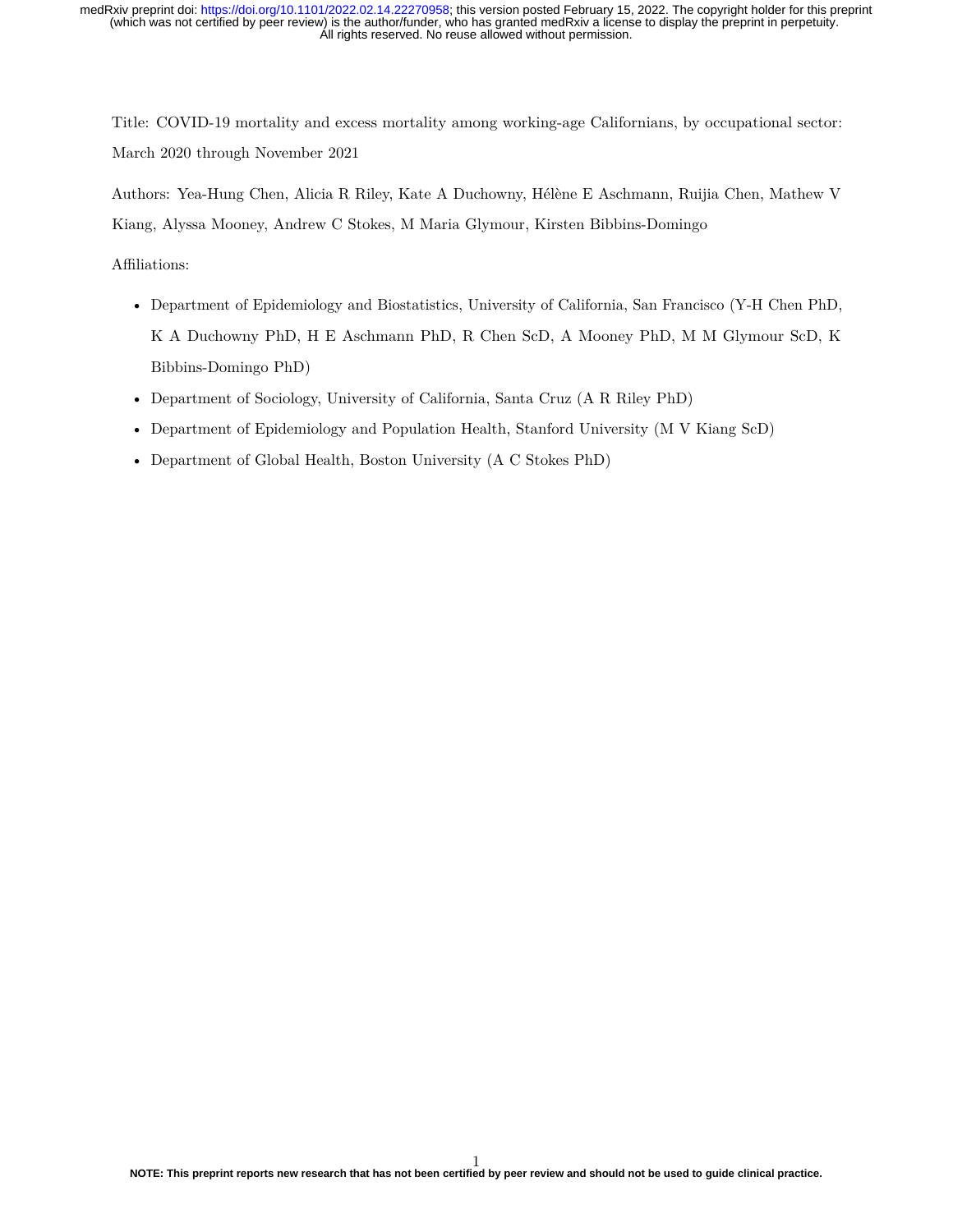Title: COVID-19 mortality and excess mortality among working-age Californians, by occupational sector: March 2020 through November 2021

Authors: Yea-Hung Chen, Alicia R Riley, Kate A Duchowny, Hélène E Aschmann, Ruijia Chen, Mathew V Kiang, Alyssa Mooney, Andrew C Stokes, M Maria Glymour, Kirsten Bibbins-Domingo

Affiliations:

- Department of Epidemiology and Biostatistics, University of California, San Francisco (Y-H Chen PhD, K A Duchowny PhD, H E Aschmann PhD, R Chen ScD, A Mooney PhD, M M Glymour ScD, K Bibbins-Domingo PhD)
- Department of Sociology, University of California, Santa Cruz (A R Riley PhD)
- Department of Epidemiology and Population Health, Stanford University (M V Kiang ScD)
- Department of Global Health, Boston University (A C Stokes PhD)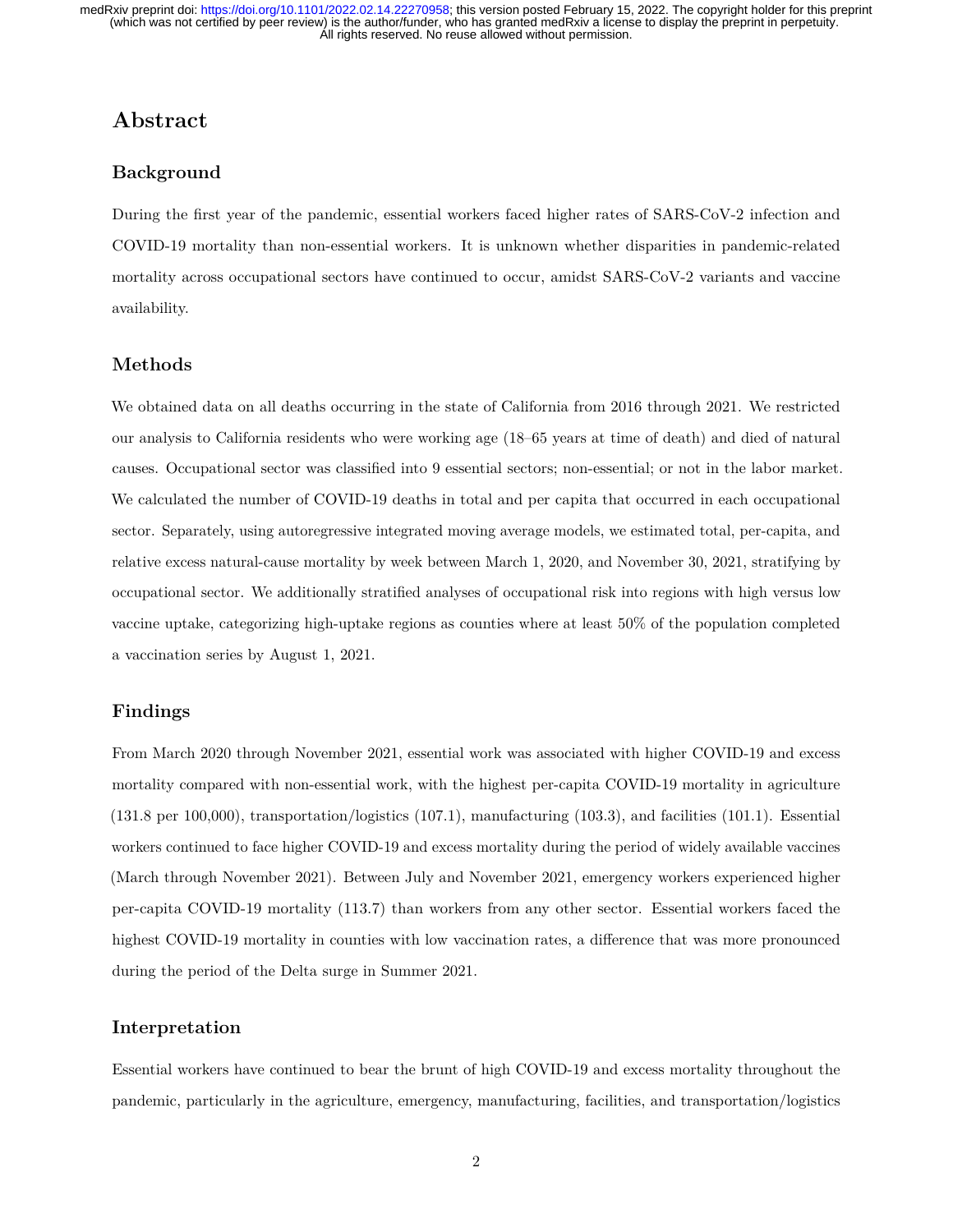### **Abstract**

#### **Background**

During the first year of the pandemic, essential workers faced higher rates of SARS-CoV-2 infection and COVID-19 mortality than non-essential workers. It is unknown whether disparities in pandemic-related mortality across occupational sectors have continued to occur, amidst SARS-CoV-2 variants and vaccine availability.

#### **Methods**

We obtained data on all deaths occurring in the state of California from 2016 through 2021. We restricted our analysis to California residents who were working age (18–65 years at time of death) and died of natural causes. Occupational sector was classified into 9 essential sectors; non-essential; or not in the labor market. We calculated the number of COVID-19 deaths in total and per capita that occurred in each occupational sector. Separately, using autoregressive integrated moving average models, we estimated total, per-capita, and relative excess natural-cause mortality by week between March 1, 2020, and November 30, 2021, stratifying by occupational sector. We additionally stratified analyses of occupational risk into regions with high versus low vaccine uptake, categorizing high-uptake regions as counties where at least 50% of the population completed a vaccination series by August 1, 2021.

#### **Findings**

From March 2020 through November 2021, essential work was associated with higher COVID-19 and excess mortality compared with non-essential work, with the highest per-capita COVID-19 mortality in agriculture (131.8 per 100,000), transportation/logistics (107.1), manufacturing (103.3), and facilities (101.1). Essential workers continued to face higher COVID-19 and excess mortality during the period of widely available vaccines (March through November 2021). Between July and November 2021, emergency workers experienced higher per-capita COVID-19 mortality (113.7) than workers from any other sector. Essential workers faced the highest COVID-19 mortality in counties with low vaccination rates, a difference that was more pronounced during the period of the Delta surge in Summer 2021.

#### **Interpretation**

Essential workers have continued to bear the brunt of high COVID-19 and excess mortality throughout the pandemic, particularly in the agriculture, emergency, manufacturing, facilities, and transportation/logistics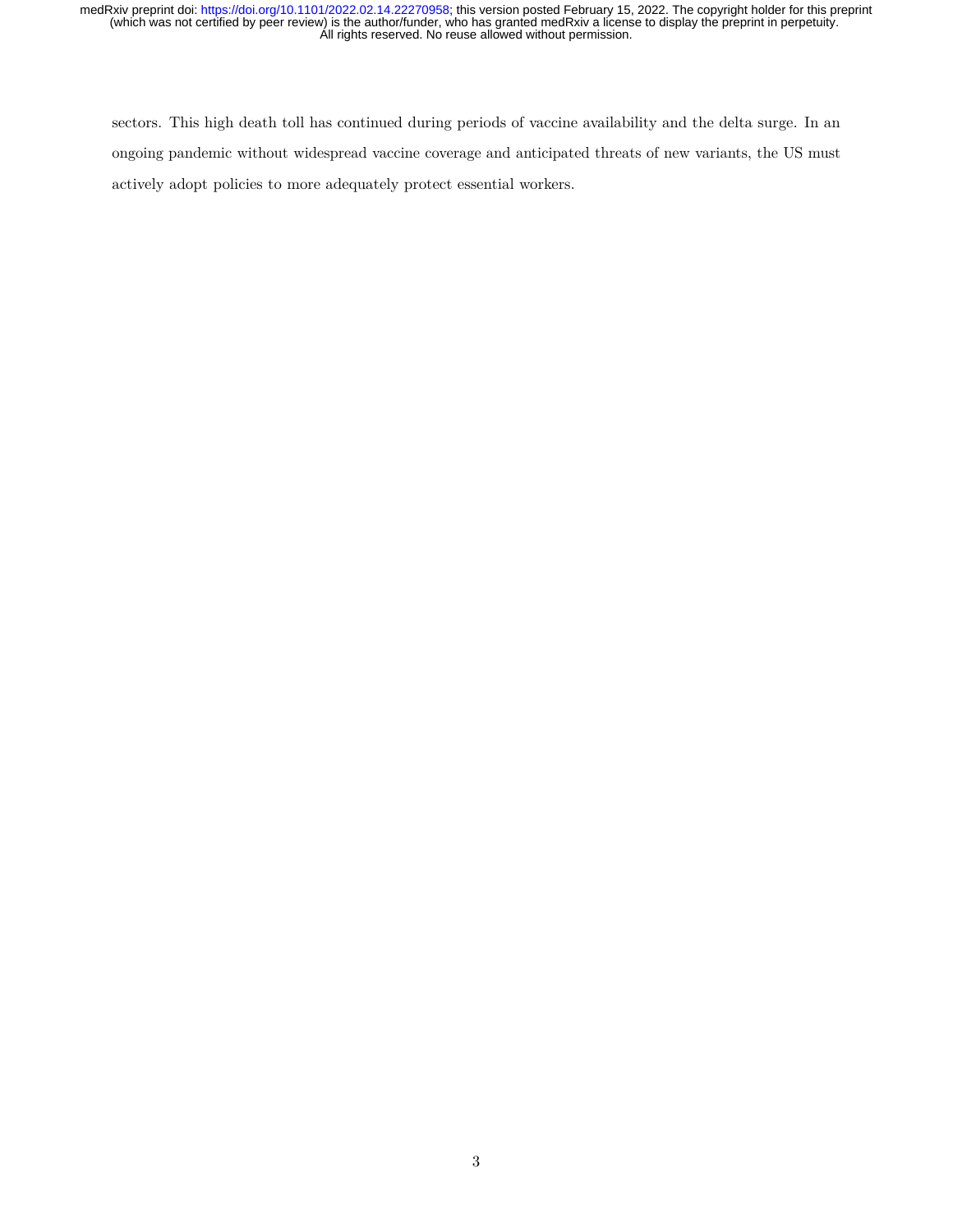sectors. This high death toll has continued during periods of vaccine availability and the delta surge. In an ongoing pandemic without widespread vaccine coverage and anticipated threats of new variants, the US must actively adopt policies to more adequately protect essential workers.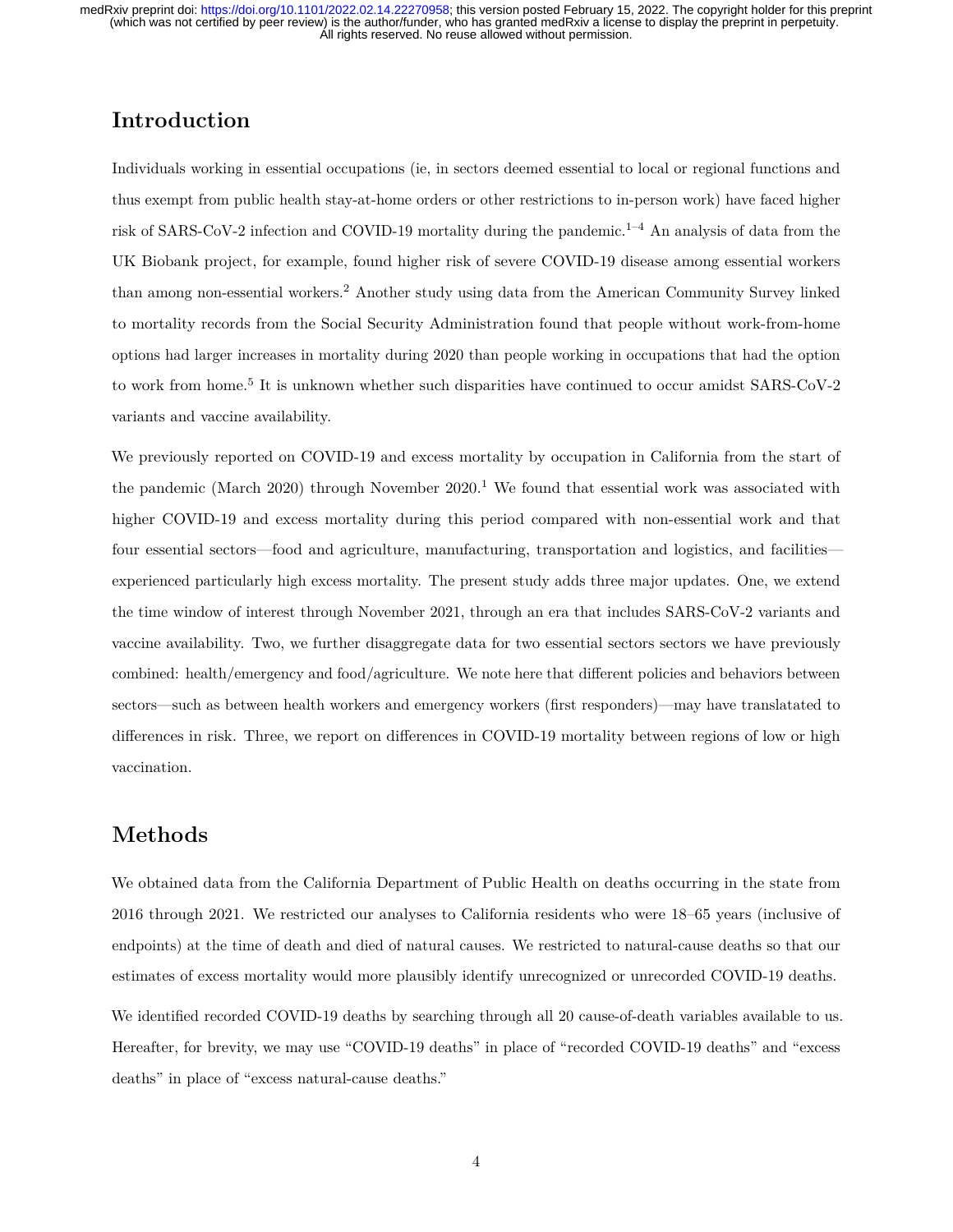## **Introduction**

Individuals working in essential occupations (ie, in sectors deemed essential to local or regional functions and thus exempt from public health stay-at-home orders or other restrictions to in-person work) have faced higher risk of SARS-CoV-2 infection and COVID-19 mortality during the pandemic.<sup>1–4</sup> An analysis of data from the UK Biobank project, for example, found higher risk of severe COVID-19 disease among essential workers than among non-essential workers.<sup>2</sup> Another study using data from the American Community Survey linked to mortality records from the Social Security Administration found that people without work-from-home options had larger increases in mortality during 2020 than people working in occupations that had the option to work from home.<sup>5</sup> It is unknown whether such disparities have continued to occur amidst SARS-CoV-2 variants and vaccine availability.

We previously reported on COVID-19 and excess mortality by occupation in California from the start of the pandemic (March 2020) through November  $2020$ .<sup>1</sup> We found that essential work was associated with higher COVID-19 and excess mortality during this period compared with non-essential work and that four essential sectors—food and agriculture, manufacturing, transportation and logistics, and facilities experienced particularly high excess mortality. The present study adds three major updates. One, we extend the time window of interest through November 2021, through an era that includes SARS-CoV-2 variants and vaccine availability. Two, we further disaggregate data for two essential sectors sectors we have previously combined: health/emergency and food/agriculture. We note here that different policies and behaviors between sectors—such as between health workers and emergency workers (first responders)—may have translatated to differences in risk. Three, we report on differences in COVID-19 mortality between regions of low or high vaccination.

### **Methods**

We obtained data from the California Department of Public Health on deaths occurring in the state from 2016 through 2021. We restricted our analyses to California residents who were 18–65 years (inclusive of endpoints) at the time of death and died of natural causes. We restricted to natural-cause deaths so that our estimates of excess mortality would more plausibly identify unrecognized or unrecorded COVID-19 deaths.

We identified recorded COVID-19 deaths by searching through all 20 cause-of-death variables available to us. Hereafter, for brevity, we may use "COVID-19 deaths" in place of "recorded COVID-19 deaths" and "excess deaths" in place of "excess natural-cause deaths."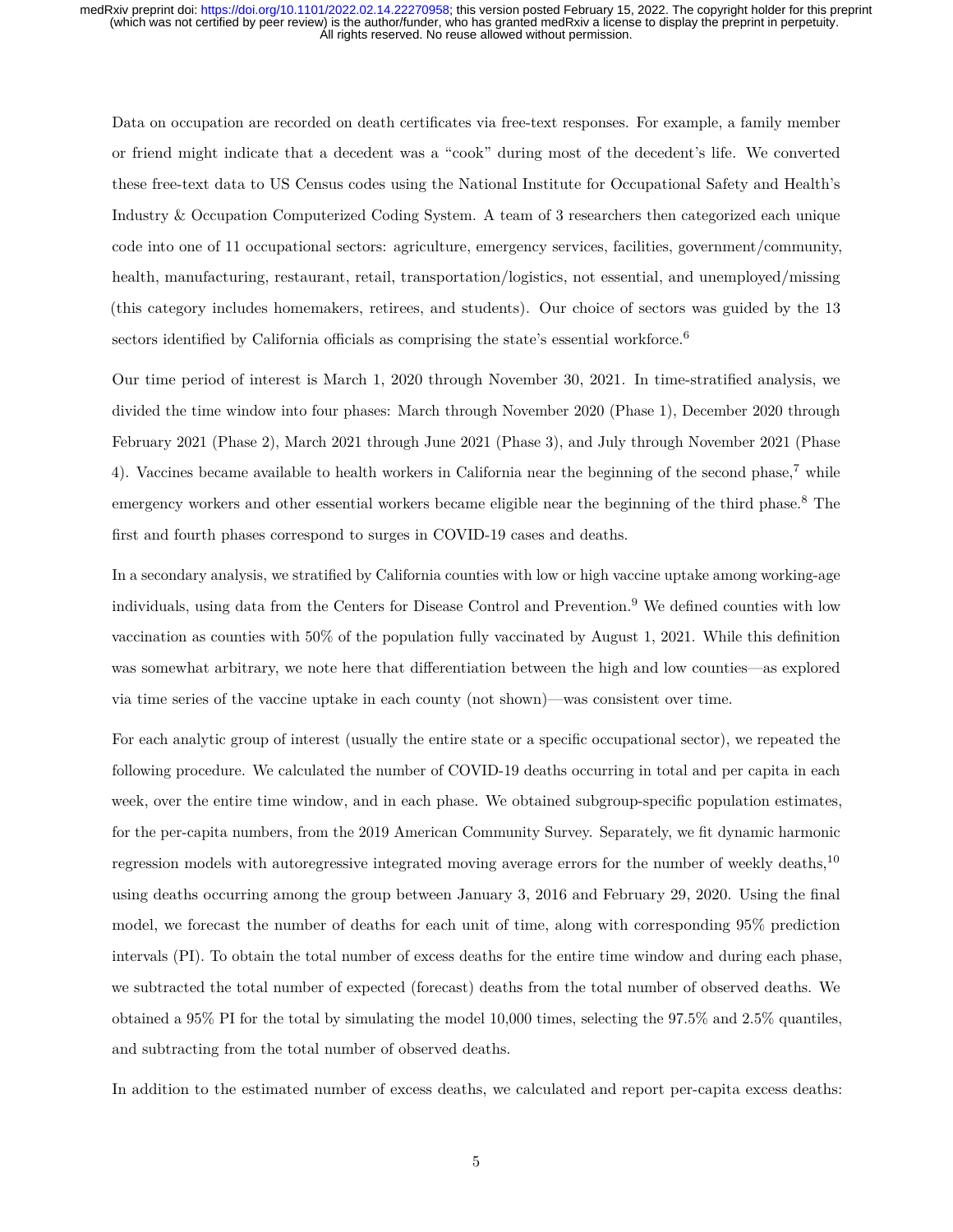Data on occupation are recorded on death certificates via free-text responses. For example, a family member or friend might indicate that a decedent was a "cook" during most of the decedent's life. We converted these free-text data to US Census codes using the National Institute for Occupational Safety and Health's Industry & Occupation Computerized Coding System. A team of 3 researchers then categorized each unique code into one of 11 occupational sectors: agriculture, emergency services, facilities, government/community, health, manufacturing, restaurant, retail, transportation/logistics, not essential, and unemployed/missing (this category includes homemakers, retirees, and students). Our choice of sectors was guided by the 13 sectors identified by California officials as comprising the state's essential workforce. $6$ 

Our time period of interest is March 1, 2020 through November 30, 2021. In time-stratified analysis, we divided the time window into four phases: March through November 2020 (Phase 1), December 2020 through February 2021 (Phase 2), March 2021 through June 2021 (Phase 3), and July through November 2021 (Phase 4). Vaccines became available to health workers in California near the beginning of the second phase,<sup>7</sup> while emergency workers and other essential workers became eligible near the beginning of the third phase.<sup>8</sup> The first and fourth phases correspond to surges in COVID-19 cases and deaths.

In a secondary analysis, we stratified by California counties with low or high vaccine uptake among working-age individuals, using data from the Centers for Disease Control and Prevention.<sup>9</sup> We defined counties with low vaccination as counties with 50% of the population fully vaccinated by August 1, 2021. While this definition was somewhat arbitrary, we note here that differentiation between the high and low counties—as explored via time series of the vaccine uptake in each county (not shown)—was consistent over time.

For each analytic group of interest (usually the entire state or a specific occupational sector), we repeated the following procedure. We calculated the number of COVID-19 deaths occurring in total and per capita in each week, over the entire time window, and in each phase. We obtained subgroup-specific population estimates, for the per-capita numbers, from the 2019 American Community Survey. Separately, we fit dynamic harmonic regression models with autoregressive integrated moving average errors for the number of weekly deaths,<sup>10</sup> using deaths occurring among the group between January 3, 2016 and February 29, 2020. Using the final model, we forecast the number of deaths for each unit of time, along with corresponding 95% prediction intervals (PI). To obtain the total number of excess deaths for the entire time window and during each phase, we subtracted the total number of expected (forecast) deaths from the total number of observed deaths. We obtained a 95% PI for the total by simulating the model 10,000 times, selecting the 97.5% and 2.5% quantiles, and subtracting from the total number of observed deaths.

In addition to the estimated number of excess deaths, we calculated and report per-capita excess deaths: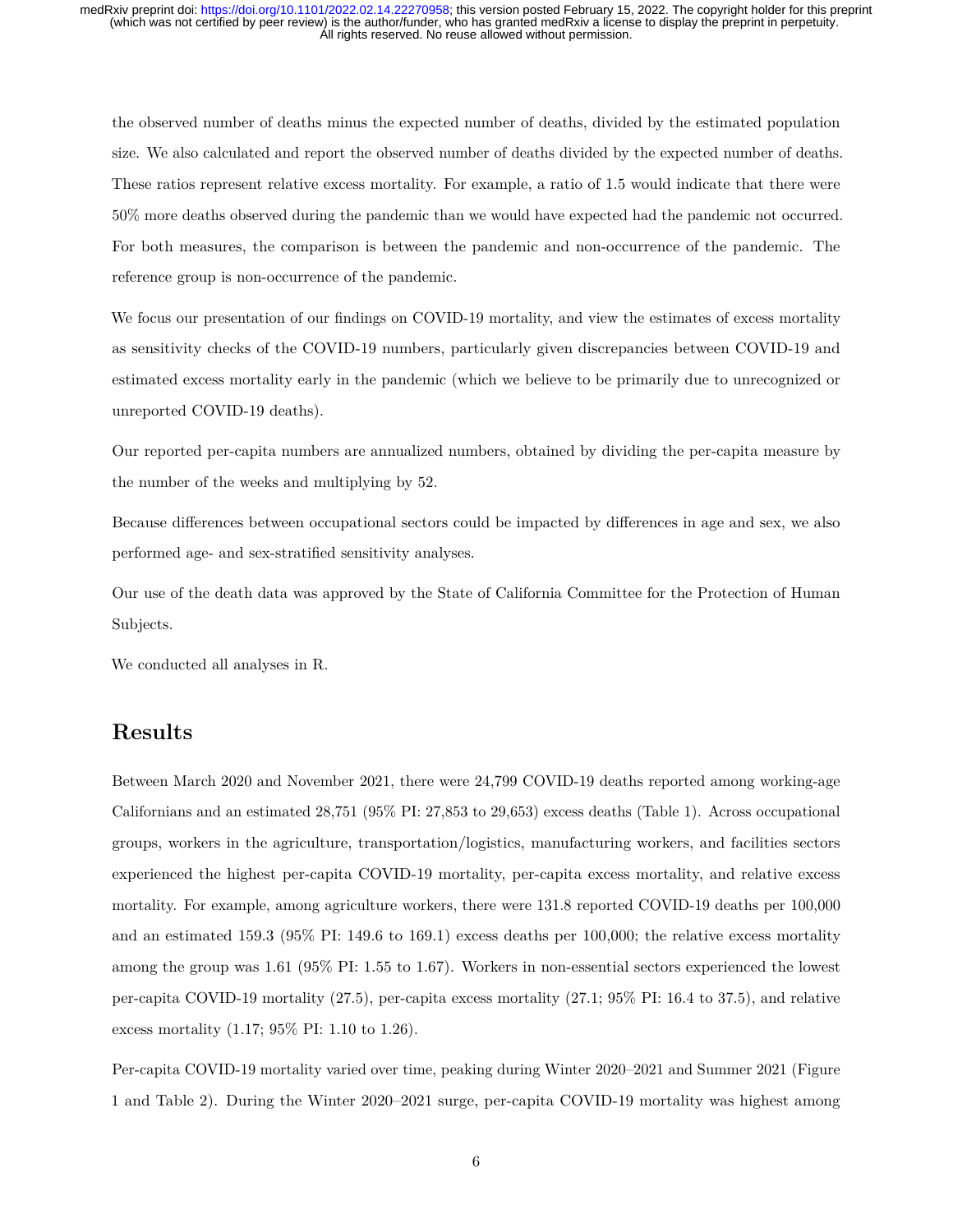the observed number of deaths minus the expected number of deaths, divided by the estimated population size. We also calculated and report the observed number of deaths divided by the expected number of deaths. These ratios represent relative excess mortality. For example, a ratio of 1.5 would indicate that there were 50% more deaths observed during the pandemic than we would have expected had the pandemic not occurred. For both measures, the comparison is between the pandemic and non-occurrence of the pandemic. The reference group is non-occurrence of the pandemic.

We focus our presentation of our findings on COVID-19 mortality, and view the estimates of excess mortality as sensitivity checks of the COVID-19 numbers, particularly given discrepancies between COVID-19 and estimated excess mortality early in the pandemic (which we believe to be primarily due to unrecognized or unreported COVID-19 deaths).

Our reported per-capita numbers are annualized numbers, obtained by dividing the per-capita measure by the number of the weeks and multiplying by 52.

Because differences between occupational sectors could be impacted by differences in age and sex, we also performed age- and sex-stratified sensitivity analyses.

Our use of the death data was approved by the State of California Committee for the Protection of Human Subjects.

We conducted all analyses in R.

## **Results**

Between March 2020 and November 2021, there were 24,799 COVID-19 deaths reported among working-age Californians and an estimated 28,751 (95% PI: 27,853 to 29,653) excess deaths (Table 1). Across occupational groups, workers in the agriculture, transportation/logistics, manufacturing workers, and facilities sectors experienced the highest per-capita COVID-19 mortality, per-capita excess mortality, and relative excess mortality. For example, among agriculture workers, there were 131.8 reported COVID-19 deaths per 100,000 and an estimated 159.3 (95% PI: 149.6 to 169.1) excess deaths per 100,000; the relative excess mortality among the group was 1.61 (95% PI: 1.55 to 1.67). Workers in non-essential sectors experienced the lowest per-capita COVID-19 mortality (27.5), per-capita excess mortality (27.1; 95% PI: 16.4 to 37.5), and relative excess mortality (1.17; 95% PI: 1.10 to 1.26).

Per-capita COVID-19 mortality varied over time, peaking during Winter 2020–2021 and Summer 2021 (Figure 1 and Table 2). During the Winter 2020–2021 surge, per-capita COVID-19 mortality was highest among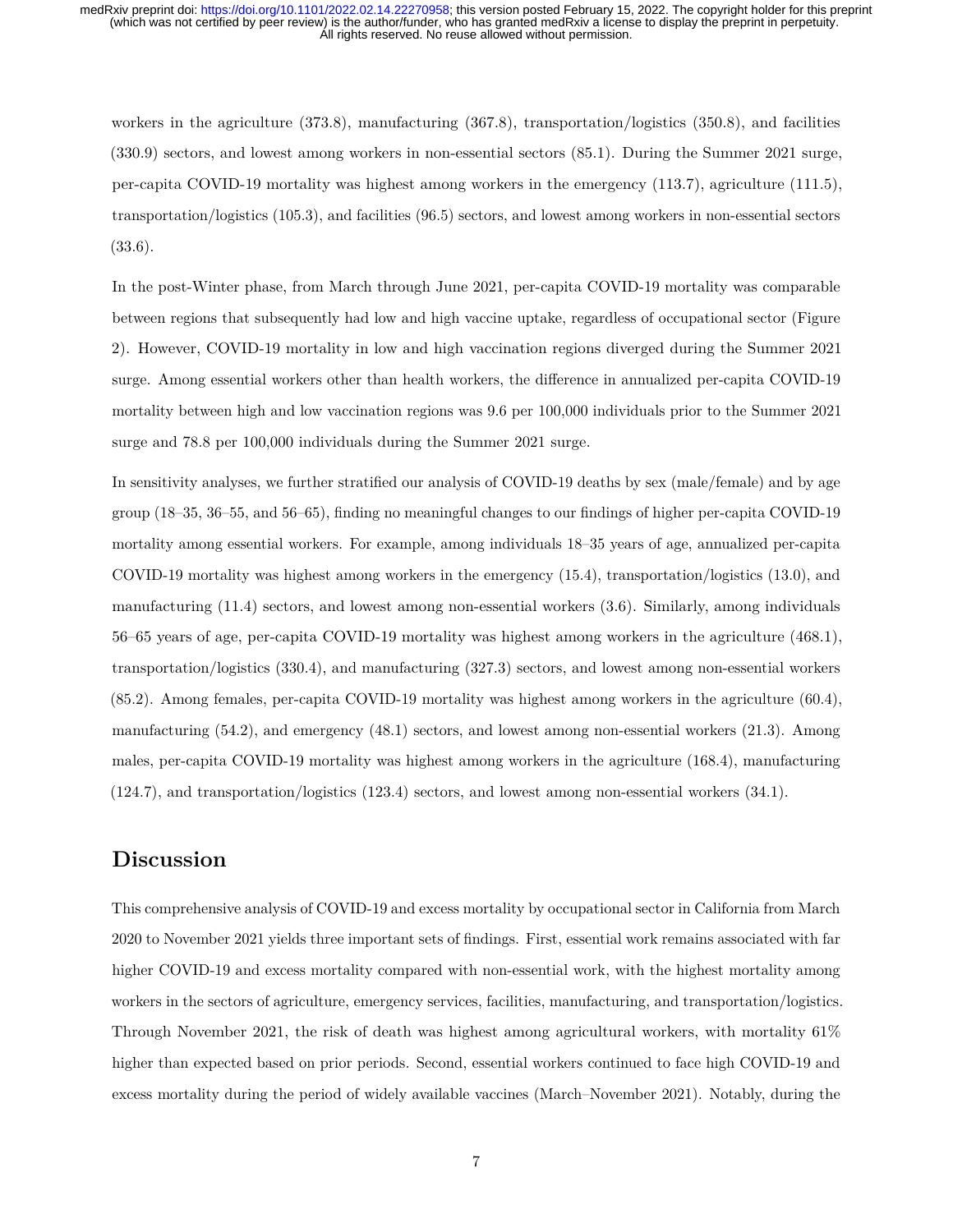workers in the agriculture (373.8), manufacturing (367.8), transportation/logistics (350.8), and facilities (330.9) sectors, and lowest among workers in non-essential sectors (85.1). During the Summer 2021 surge, per-capita COVID-19 mortality was highest among workers in the emergency (113.7), agriculture (111.5), transportation/logistics (105.3), and facilities (96.5) sectors, and lowest among workers in non-essential sectors (33.6).

In the post-Winter phase, from March through June 2021, per-capita COVID-19 mortality was comparable between regions that subsequently had low and high vaccine uptake, regardless of occupational sector (Figure 2). However, COVID-19 mortality in low and high vaccination regions diverged during the Summer 2021 surge. Among essential workers other than health workers, the difference in annualized per-capita COVID-19 mortality between high and low vaccination regions was 9.6 per 100,000 individuals prior to the Summer 2021 surge and 78.8 per 100,000 individuals during the Summer 2021 surge.

In sensitivity analyses, we further stratified our analysis of COVID-19 deaths by sex (male/female) and by age group (18–35, 36–55, and 56–65), finding no meaningful changes to our findings of higher per-capita COVID-19 mortality among essential workers. For example, among individuals 18–35 years of age, annualized per-capita COVID-19 mortality was highest among workers in the emergency (15.4), transportation/logistics (13.0), and manufacturing (11.4) sectors, and lowest among non-essential workers (3.6). Similarly, among individuals 56–65 years of age, per-capita COVID-19 mortality was highest among workers in the agriculture (468.1), transportation/logistics (330.4), and manufacturing (327.3) sectors, and lowest among non-essential workers (85.2). Among females, per-capita COVID-19 mortality was highest among workers in the agriculture (60.4), manufacturing (54.2), and emergency (48.1) sectors, and lowest among non-essential workers (21.3). Among males, per-capita COVID-19 mortality was highest among workers in the agriculture (168.4), manufacturing (124.7), and transportation/logistics (123.4) sectors, and lowest among non-essential workers (34.1).

#### **Discussion**

This comprehensive analysis of COVID-19 and excess mortality by occupational sector in California from March 2020 to November 2021 yields three important sets of findings. First, essential work remains associated with far higher COVID-19 and excess mortality compared with non-essential work, with the highest mortality among workers in the sectors of agriculture, emergency services, facilities, manufacturing, and transportation/logistics. Through November 2021, the risk of death was highest among agricultural workers, with mortality 61% higher than expected based on prior periods. Second, essential workers continued to face high COVID-19 and excess mortality during the period of widely available vaccines (March–November 2021). Notably, during the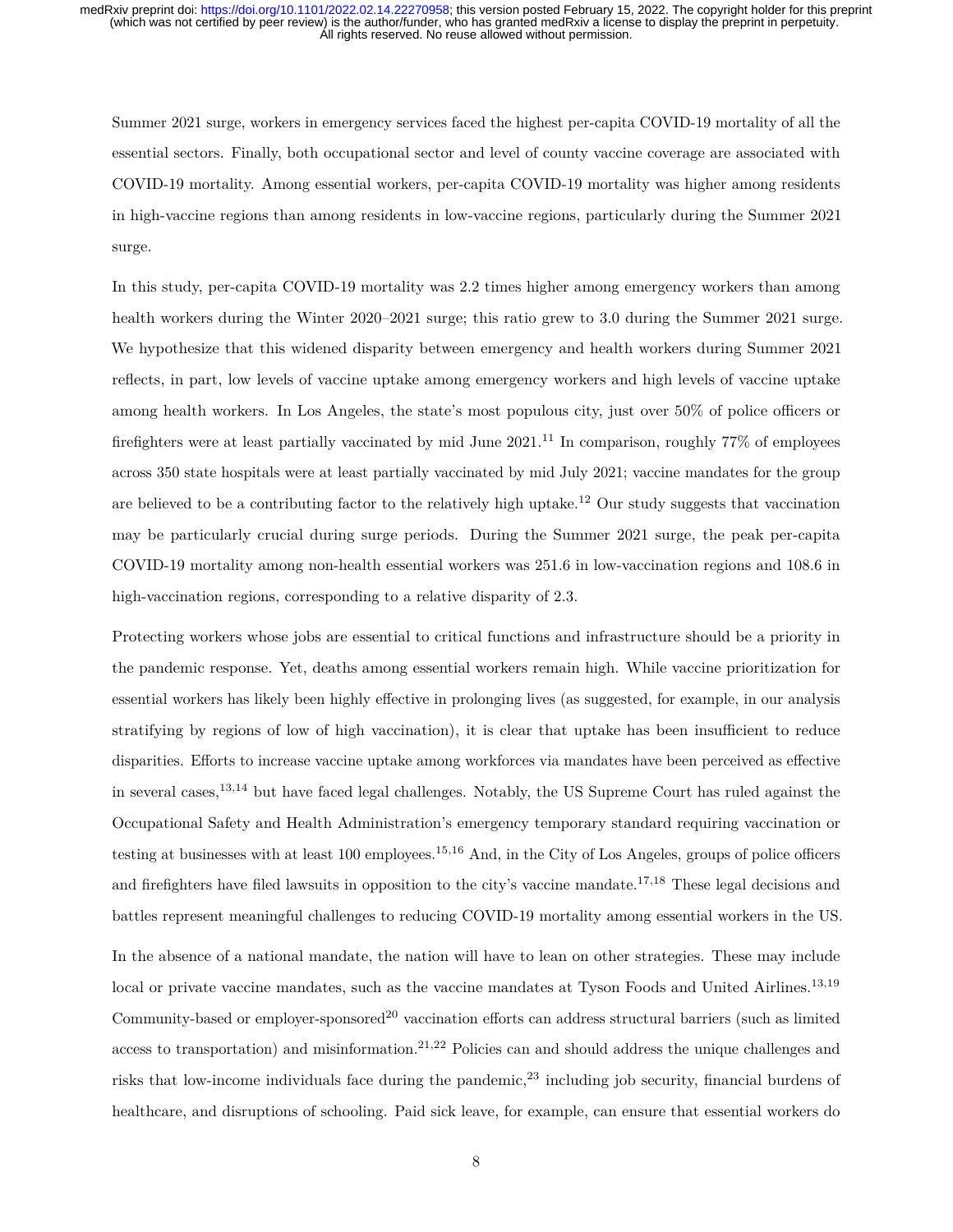Summer 2021 surge, workers in emergency services faced the highest per-capita COVID-19 mortality of all the essential sectors. Finally, both occupational sector and level of county vaccine coverage are associated with COVID-19 mortality. Among essential workers, per-capita COVID-19 mortality was higher among residents in high-vaccine regions than among residents in low-vaccine regions, particularly during the Summer 2021 surge.

In this study, per-capita COVID-19 mortality was 2.2 times higher among emergency workers than among health workers during the Winter 2020–2021 surge; this ratio grew to 3.0 during the Summer 2021 surge. We hypothesize that this widened disparity between emergency and health workers during Summer 2021 reflects, in part, low levels of vaccine uptake among emergency workers and high levels of vaccine uptake among health workers. In Los Angeles, the state's most populous city, just over 50% of police officers or firefighters were at least partially vaccinated by mid June  $2021$ .<sup>11</sup> In comparison, roughly 77% of employees across 350 state hospitals were at least partially vaccinated by mid July 2021; vaccine mandates for the group are believed to be a contributing factor to the relatively high uptake.<sup>12</sup> Our study suggests that vaccination may be particularly crucial during surge periods. During the Summer 2021 surge, the peak per-capita COVID-19 mortality among non-health essential workers was 251.6 in low-vaccination regions and 108.6 in high-vaccination regions, corresponding to a relative disparity of 2.3.

Protecting workers whose jobs are essential to critical functions and infrastructure should be a priority in the pandemic response. Yet, deaths among essential workers remain high. While vaccine prioritization for essential workers has likely been highly effective in prolonging lives (as suggested, for example, in our analysis stratifying by regions of low of high vaccination), it is clear that uptake has been insufficient to reduce disparities. Efforts to increase vaccine uptake among workforces via mandates have been perceived as effective in several cases,13,14 but have faced legal challenges. Notably, the US Supreme Court has ruled against the Occupational Safety and Health Administration's emergency temporary standard requiring vaccination or testing at businesses with at least  $100$  employees.<sup>15,16</sup> And, in the City of Los Angeles, groups of police officers and firefighters have filed lawsuits in opposition to the city's vaccine mandate.<sup>17,18</sup> These legal decisions and battles represent meaningful challenges to reducing COVID-19 mortality among essential workers in the US. In the absence of a national mandate, the nation will have to lean on other strategies. These may include local or private vaccine mandates, such as the vaccine mandates at Tyson Foods and United Airlines.<sup>13,19</sup> Community-based or employer-sponsored<sup>20</sup> vaccination efforts can address structural barriers (such as limited access to transportation) and misinformation.<sup>21,22</sup> Policies can and should address the unique challenges and risks that low-income individuals face during the pandemic,  $^{23}$  including job security, financial burdens of healthcare, and disruptions of schooling. Paid sick leave, for example, can ensure that essential workers do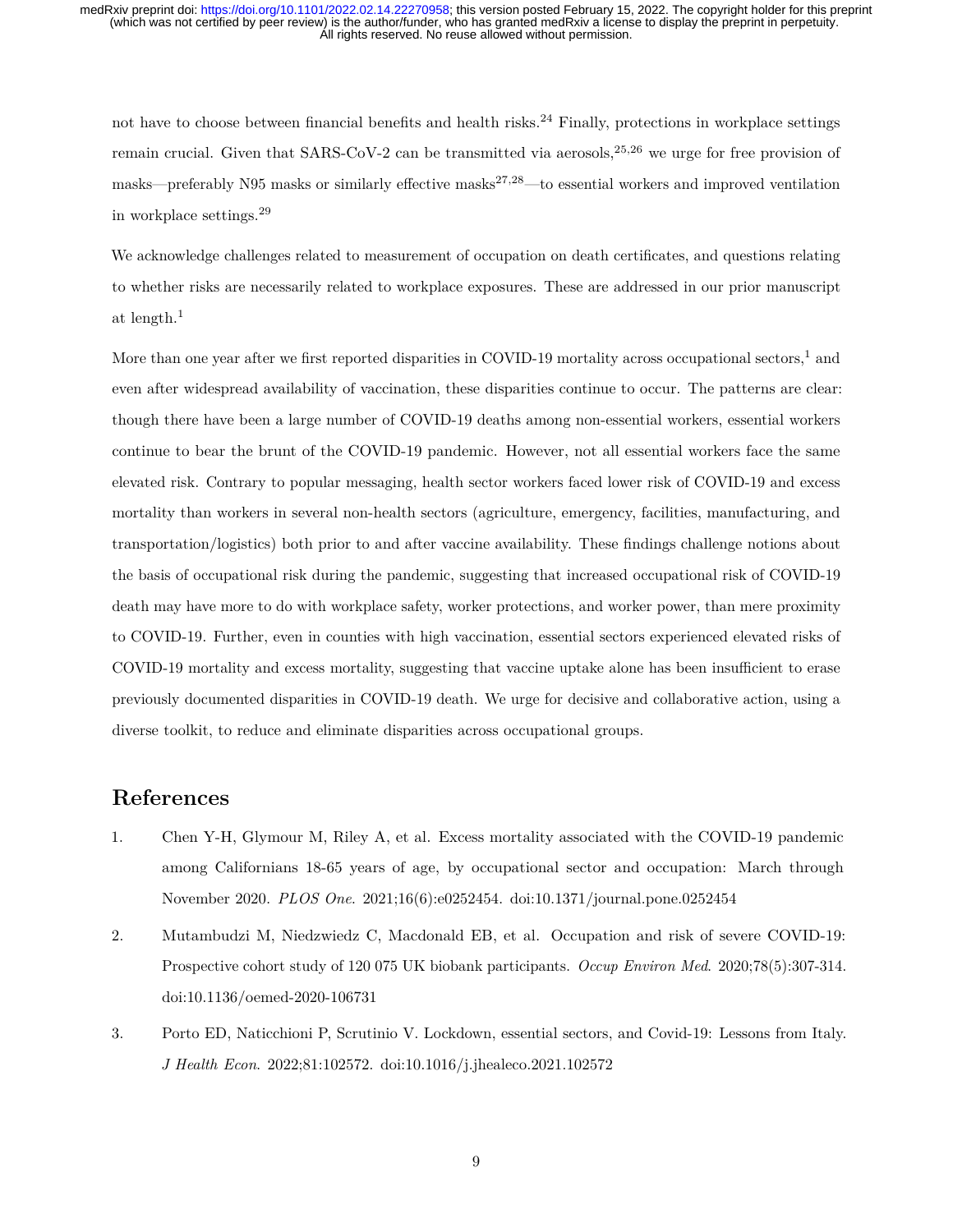not have to choose between financial benefits and health risks.<sup>24</sup> Finally, protections in workplace settings remain crucial. Given that  $SARS-CoV-2$  can be transmitted via aerosols,  $2^{5,26}$  we urge for free provision of masks—preferably N95 masks or similarly effective masks<sup>27,28</sup>—to essential workers and improved ventilation in workplace settings.<sup>29</sup>

We acknowledge challenges related to measurement of occupation on death certificates, and questions relating to whether risks are necessarily related to workplace exposures. These are addressed in our prior manuscript at length.<sup>1</sup>

More than one year after we first reported disparities in COVID-19 mortality across occupational sectors,<sup>1</sup> and even after widespread availability of vaccination, these disparities continue to occur. The patterns are clear: though there have been a large number of COVID-19 deaths among non-essential workers, essential workers continue to bear the brunt of the COVID-19 pandemic. However, not all essential workers face the same elevated risk. Contrary to popular messaging, health sector workers faced lower risk of COVID-19 and excess mortality than workers in several non-health sectors (agriculture, emergency, facilities, manufacturing, and transportation/logistics) both prior to and after vaccine availability. These findings challenge notions about the basis of occupational risk during the pandemic, suggesting that increased occupational risk of COVID-19 death may have more to do with workplace safety, worker protections, and worker power, than mere proximity to COVID-19. Further, even in counties with high vaccination, essential sectors experienced elevated risks of COVID-19 mortality and excess mortality, suggesting that vaccine uptake alone has been insufficient to erase previously documented disparities in COVID-19 death. We urge for decisive and collaborative action, using a diverse toolkit, to reduce and eliminate disparities across occupational groups.

# **References**

- 1. Chen Y-H, Glymour M, Riley A, et al. Excess mortality associated with the COVID-19 pandemic among Californians 18-65 years of age, by occupational sector and occupation: March through November 2020. *PLOS One*. 2021;16(6):e0252454. doi[:10.1371/journal.pone.0252454](https://doi.org/10.1371/journal.pone.0252454)
- 2. Mutambudzi M, Niedzwiedz C, Macdonald EB, et al. Occupation and risk of severe COVID-19: Prospective cohort study of 120 075 UK biobank participants. *Occup Environ Med*. 2020;78(5):307-314. doi[:10.1136/oemed-2020-106731](https://doi.org/10.1136/oemed-2020-106731)
- 3. Porto ED, Naticchioni P, Scrutinio V. Lockdown, essential sectors, and Covid-19: Lessons from Italy. *J Health Econ*. 2022;81:102572. doi[:10.1016/j.jhealeco.2021.102572](https://doi.org/10.1016/j.jhealeco.2021.102572)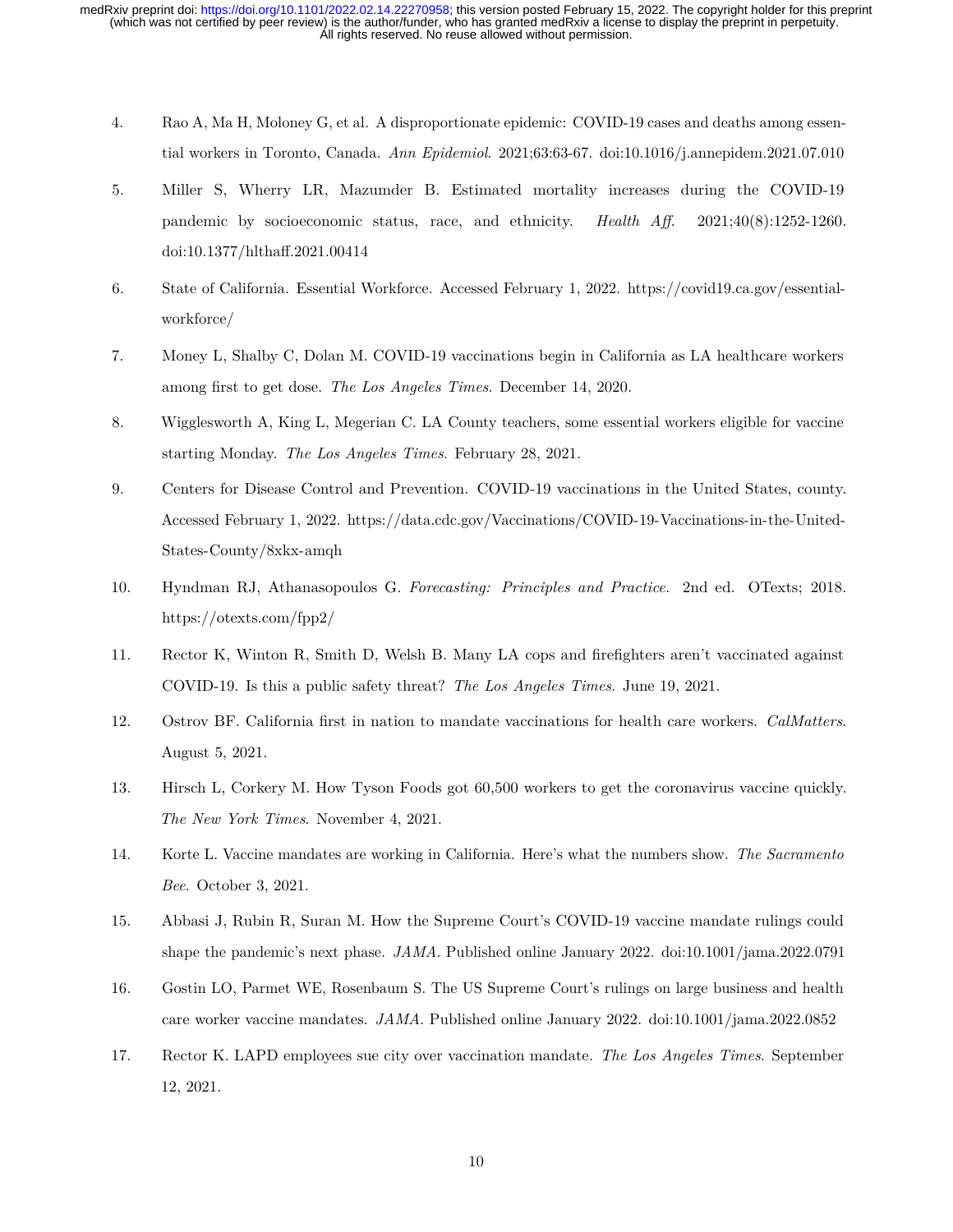- 4. Rao A, Ma H, Moloney G, et al. A disproportionate epidemic: COVID-19 cases and deaths among essential workers in Toronto, Canada. *Ann Epidemiol*. 2021;63:63-67. doi[:10.1016/j.annepidem.2021.07.010](https://doi.org/10.1016/j.annepidem.2021.07.010)
- 5. Miller S, Wherry LR, Mazumder B. Estimated mortality increases during the COVID-19 pandemic by socioeconomic status, race, and ethnicity. *Health Aff*. 2021;40(8):1252-1260. doi[:10.1377/hlthaff.2021.00414](https://doi.org/10.1377/hlthaff.2021.00414)
- 6. State of California. Essential Workforce. Accessed February 1, 2022. [https://covid19.ca.gov/essential](https://covid19.ca.gov/essential-workforce/)[workforce/](https://covid19.ca.gov/essential-workforce/)
- 7. Money L, Shalby C, Dolan M. COVID-19 vaccinations begin in California as LA healthcare workers among first to get dose. *The Los Angeles Times*. December 14, 2020.
- 8. Wigglesworth A, King L, Megerian C. LA County teachers, some essential workers eligible for vaccine starting Monday. *The Los Angeles Times*. February 28, 2021.
- 9. Centers for Disease Control and Prevention. COVID-19 vaccinations in the United States, county. Accessed February 1, 2022. [https://data.cdc.gov/Vaccinations/COVID-19-Vaccinations-in-the-United-](https://data.cdc.gov/Vaccinations/COVID-19-Vaccinations-in-the-United-States-County/8xkx-amqh)[States-County/8xkx-amqh](https://data.cdc.gov/Vaccinations/COVID-19-Vaccinations-in-the-United-States-County/8xkx-amqh)
- 10. Hyndman RJ, Athanasopoulos G. *Forecasting: Principles and Practice*. 2nd ed. OTexts; 2018. <https://otexts.com/fpp2/>
- 11. Rector K, Winton R, Smith D, Welsh B. Many LA cops and firefighters aren't vaccinated against COVID-19. Is this a public safety threat? *The Los Angeles Times*. June 19, 2021.
- 12. Ostrov BF. California first in nation to mandate vaccinations for health care workers. *CalMatters*. August 5, 2021.
- 13. Hirsch L, Corkery M. How Tyson Foods got 60,500 workers to get the coronavirus vaccine quickly. *The New York Times*. November 4, 2021.
- 14. Korte L. Vaccine mandates are working in California. Here's what the numbers show. *The Sacramento Bee*. October 3, 2021.
- 15. Abbasi J, Rubin R, Suran M. How the Supreme Court's COVID-19 vaccine mandate rulings could shape the pandemic's next phase. *JAMA*. Published online January 2022. doi[:10.1001/jama.2022.0791](https://doi.org/10.1001/jama.2022.0791)
- 16. Gostin LO, Parmet WE, Rosenbaum S. The US Supreme Court's rulings on large business and health care worker vaccine mandates. *JAMA*. Published online January 2022. doi[:10.1001/jama.2022.0852](https://doi.org/10.1001/jama.2022.0852)
- 17. Rector K. LAPD employees sue city over vaccination mandate. *The Los Angeles Times*. September 12, 2021.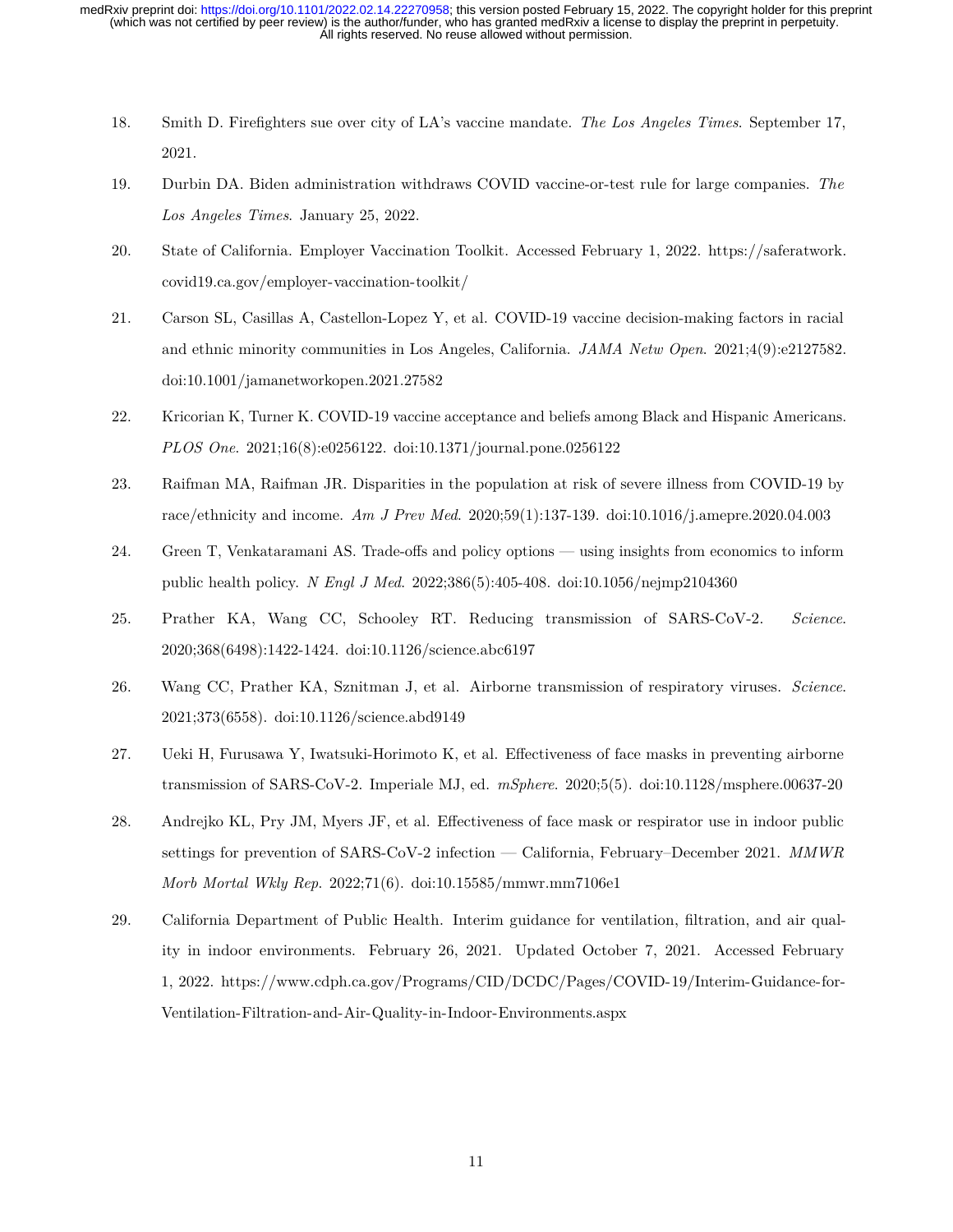- 18. Smith D. Firefighters sue over city of LA's vaccine mandate. *The Los Angeles Times*. September 17, 2021.
- 19. Durbin DA. Biden administration withdraws COVID vaccine-or-test rule for large companies. *The Los Angeles Times*. January 25, 2022.
- 20. State of California. Employer Vaccination Toolkit. Accessed February 1, 2022. [https://saferatwork.](https://saferatwork.covid19.ca.gov/employer-vaccination-toolkit/) [covid19.ca.gov/employer-vaccination-toolkit/](https://saferatwork.covid19.ca.gov/employer-vaccination-toolkit/)
- 21. Carson SL, Casillas A, Castellon-Lopez Y, et al. COVID-19 vaccine decision-making factors in racial and ethnic minority communities in Los Angeles, California. *JAMA Netw Open*. 2021;4(9):e2127582. doi[:10.1001/jamanetworkopen.2021.27582](https://doi.org/10.1001/jamanetworkopen.2021.27582)
- 22. Kricorian K, Turner K. COVID-19 vaccine acceptance and beliefs among Black and Hispanic Americans. *PLOS One*. 2021;16(8):e0256122. doi[:10.1371/journal.pone.0256122](https://doi.org/10.1371/journal.pone.0256122)
- 23. Raifman MA, Raifman JR. Disparities in the population at risk of severe illness from COVID-19 by race/ethnicity and income. *Am J Prev Med*. 2020;59(1):137-139. doi[:10.1016/j.amepre.2020.04.003](https://doi.org/10.1016/j.amepre.2020.04.003)
- 24. Green T, Venkataramani AS. Trade-offs and policy options using insights from economics to inform public health policy. *N Engl J Med*. 2022;386(5):405-408. doi[:10.1056/nejmp2104360](https://doi.org/10.1056/nejmp2104360)
- 25. Prather KA, Wang CC, Schooley RT. Reducing transmission of SARS-CoV-2. *Science*. 2020;368(6498):1422-1424. doi[:10.1126/science.abc6197](https://doi.org/10.1126/science.abc6197)
- 26. Wang CC, Prather KA, Sznitman J, et al. Airborne transmission of respiratory viruses. *Science*. 2021;373(6558). doi[:10.1126/science.abd9149](https://doi.org/10.1126/science.abd9149)
- 27. Ueki H, Furusawa Y, Iwatsuki-Horimoto K, et al. Effectiveness of face masks in preventing airborne transmission of SARS-CoV-2. Imperiale MJ, ed. *mSphere*. 2020;5(5). doi[:10.1128/msphere.00637-20](https://doi.org/10.1128/msphere.00637-20)
- 28. Andrejko KL, Pry JM, Myers JF, et al. Effectiveness of face mask or respirator use in indoor public settings for prevention of SARS-CoV-2 infection — California, February–December 2021. *MMWR Morb Mortal Wkly Rep*. 2022;71(6). doi[:10.15585/mmwr.mm7106e1](https://doi.org/10.15585/mmwr.mm7106e1)
- 29. California Department of Public Health. Interim guidance for ventilation, filtration, and air quality in indoor environments. February 26, 2021. Updated October 7, 2021. Accessed February 1, 2022. [https://www.cdph.ca.gov/Programs/CID/DCDC/Pages/COVID-19/Interim-Guidance-for-](https://www.cdph.ca.gov/Programs/CID/DCDC/Pages/COVID-19/Interim-Guidance-for-Ventilation-Filtration-and-Air-Quality-in-Indoor-Environments.aspx)[Ventilation-Filtration-and-Air-Quality-in-Indoor-Environments.aspx](https://www.cdph.ca.gov/Programs/CID/DCDC/Pages/COVID-19/Interim-Guidance-for-Ventilation-Filtration-and-Air-Quality-in-Indoor-Environments.aspx)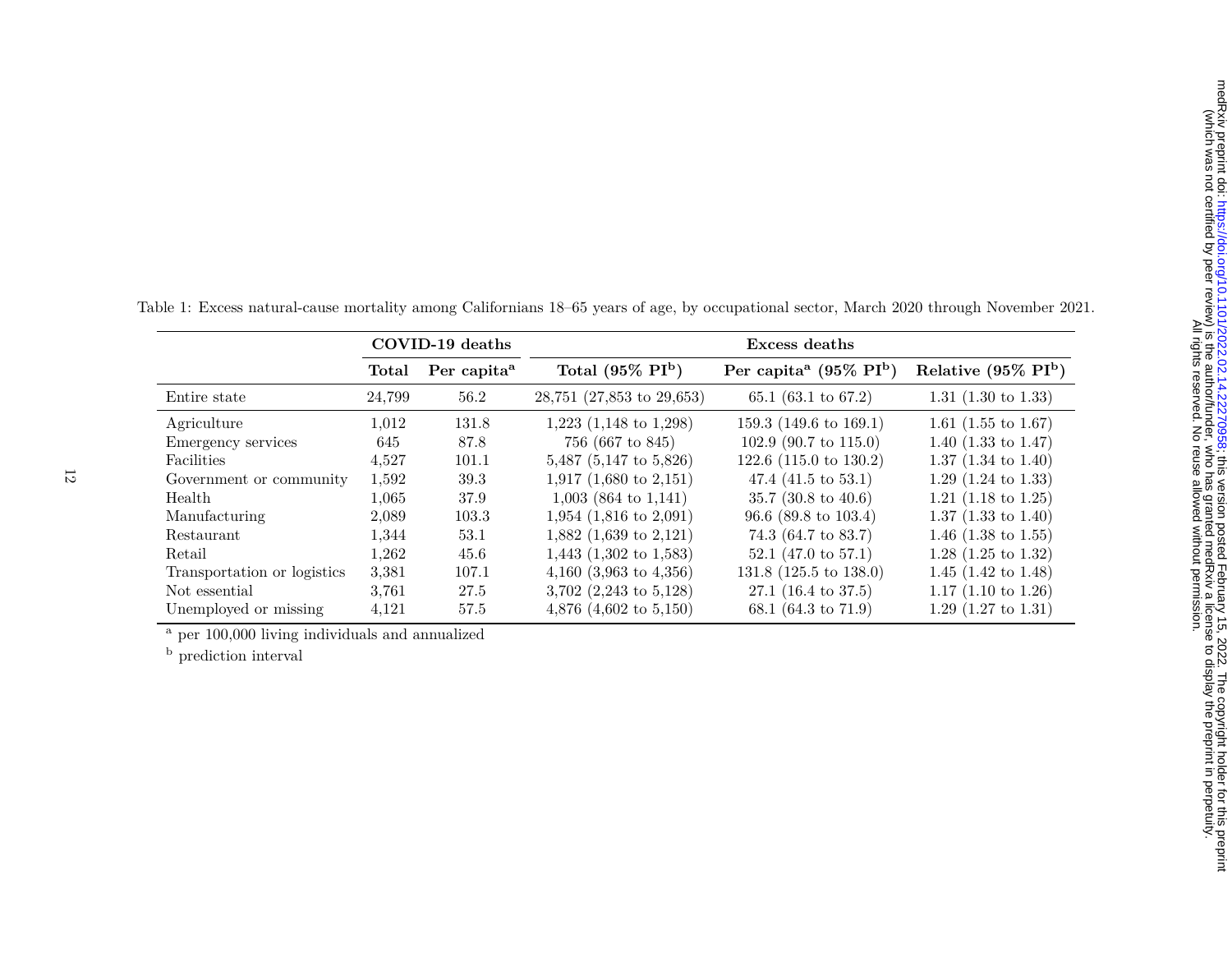|                             | COVID-19 deaths |                         | Excess deaths                       |                                                |                                |
|-----------------------------|-----------------|-------------------------|-------------------------------------|------------------------------------------------|--------------------------------|
|                             | Total           | Per capita <sup>a</sup> | Total $(95\% \text{ PI}^b)$         | Per capita <sup>a</sup> (95% PI <sup>b</sup> ) | Relative $(95\% \text{ PI}^b)$ |
| Entire state                | 24,799          | 56.2                    | 28,751 (27,853 to 29,653)           | 65.1 (63.1 to 67.2)                            | 1.31 $(1.30 \text{ to } 1.33)$ |
| Agriculture                 | 1,012           | 131.8                   | $1,223$ $(1,148$ to $1,298)$        | 159.3 $(149.6 \text{ to } 169.1)$              | 1.61 $(1.55 \text{ to } 1.67)$ |
| Emergency services          | 645             | 87.8                    | 756 (667 to 845)                    | 102.9 $(90.7 \text{ to } 115.0)$               | 1.40 $(1.33 \text{ to } 1.47)$ |
| Facilities                  | 4,527           | 101.1                   | $5,487$ (5,147 to 5,826)            | 122.6 $(115.0 \text{ to } 130.2)$              | $1.37$ (1.34 to 1.40)          |
| Government or community     | 1,592           | 39.3                    | 1,917 $(1,680 \text{ to } 2,151)$   | 47.4 $(41.5 \text{ to } 53.1)$                 | 1.29 $(1.24 \text{ to } 1.33)$ |
| Health                      | 1,065           | 37.9                    | $1,003$ (864 to 1,141)              | 35.7 $(30.8 \text{ to } 40.6)$                 | 1.21 $(1.18 \text{ to } 1.25)$ |
| Manufacturing               | 2,089           | 103.3                   | $1,954$ (1,816 to 2,091)            | $96.6$ (89.8 to 103.4)                         | $1.37$ (1.33 to 1.40)          |
| Restaurant                  | 1,344           | 53.1                    | $1,882$ (1,639 to 2,121)            | 74.3 (64.7 to 83.7)                            | 1.46 $(1.38 \text{ to } 1.55)$ |
| Retail                      | 1,262           | 45.6                    | $1,443$ $(1,302 \text{ to } 1,583)$ | 52.1 $(47.0 \text{ to } 57.1)$                 | $1.28$ (1.25 to 1.32)          |
| Transportation or logistics | 3,381           | 107.1                   | 4,160 $(3,963 \text{ to } 4,356)$   | 131.8 (125.5 to 138.0)                         | 1.45 $(1.42 \text{ to } 1.48)$ |
| Not essential               | 3.761           | 27.5                    | 3,702 $(2,243 \text{ to } 5,128)$   | $27.1$ (16.4 to 37.5)                          | 1.17 $(1.10 \text{ to } 1.26)$ |
| Unemployed or missing       | 4,121           | 57.5                    | 4,876 $(4,602 \text{ to } 5,150)$   | 68.1 (64.3 to 71.9)                            | $1.29$ (1.27 to 1.31)          |

Table 1: Excess natural-cause mortality among Californians 18–65 years of age, by occupational sector, March 2020 through November 2021.

 $\overline{a}$ per 100,000 living individuals and annualized

<sup>b</sup> prediction interval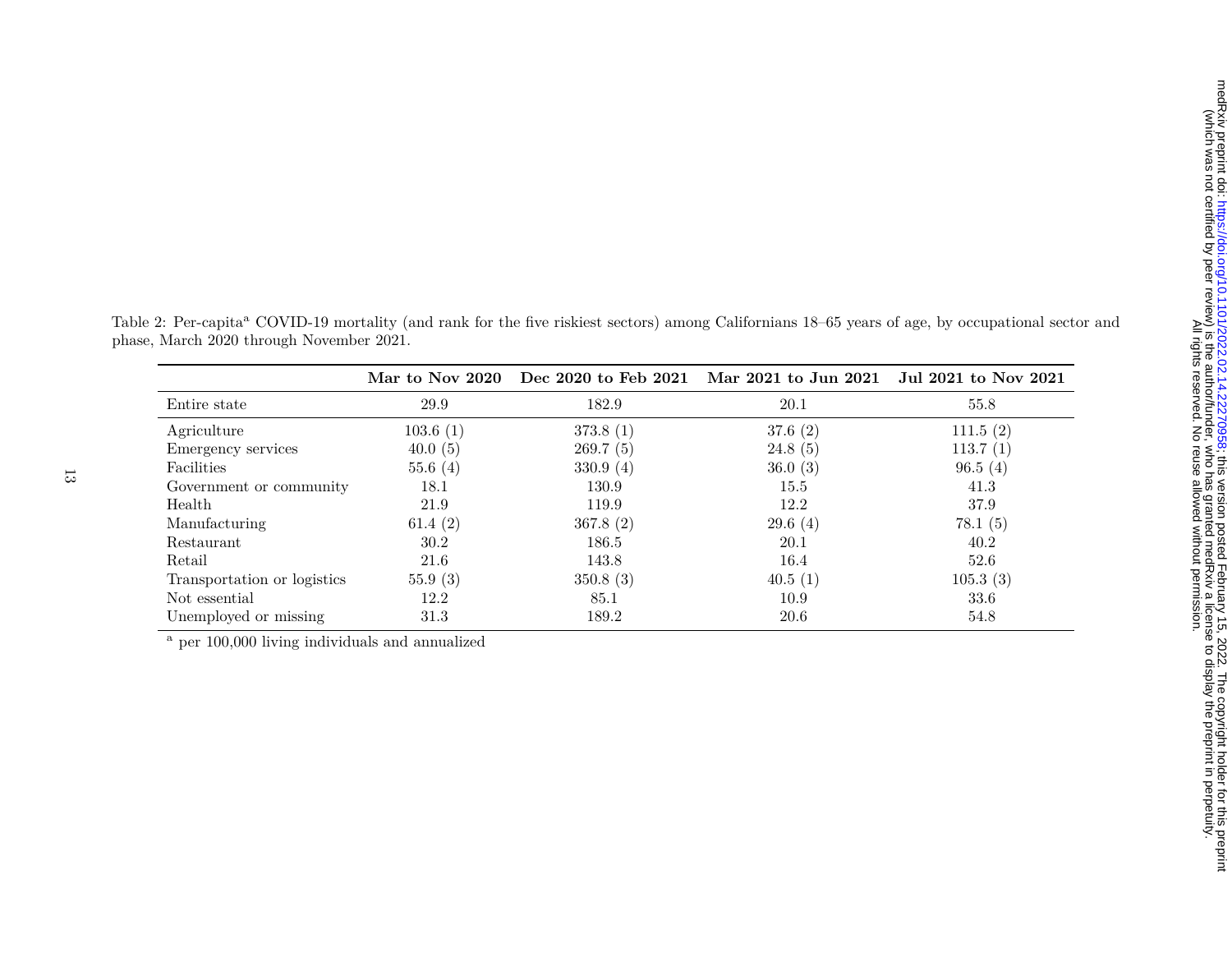|                             | Mar to Nov 2020 |          | Dec 2020 to Feb 2021 Mar 2021 to Jun 2021 Jul 2021 to Nov 2021 |          |
|-----------------------------|-----------------|----------|----------------------------------------------------------------|----------|
| Entire state                | 29.9            | 182.9    | 20.1                                                           | 55.8     |
| Agriculture                 | 103.6(1)        | 373.8(1) | 37.6(2)                                                        | 111.5(2) |
| Emergency services          | 40.0(5)         | 269.7(5) | 24.8(5)                                                        | 113.7(1) |
| Facilities                  | 55.6(4)         | 330.9(4) | 36.0(3)                                                        | 96.5(4)  |
| Government or community     | 18.1            | 130.9    | 15.5                                                           | 41.3     |
| Health                      | 21.9            | 119.9    | 12.2                                                           | 37.9     |
| Manufacturing               | 61.4 $(2)$      | 367.8(2) | 29.6(4)                                                        | 78.1(5)  |
| Restaurant                  | 30.2            | 186.5    | 20.1                                                           | 40.2     |
| Retail                      | 21.6            | 143.8    | 16.4                                                           | 52.6     |
| Transportation or logistics | 55.9(3)         | 350.8(3) | 40.5(1)                                                        | 105.3(3) |
| Not essential               | 12.2            | 85.1     | 10.9                                                           | 33.6     |
| Unemployed or missing       | 31.3            | 189.2    | 20.6                                                           | 54.8     |

Table 2: Per-capita<sup>a</sup> COVID-19 mortality (and rank for the five riskiest sectors) among Californians 18–65 years of age, by occupational sector and phase, March 2020 through November 2021.

a per 100,000 living individuals and annualized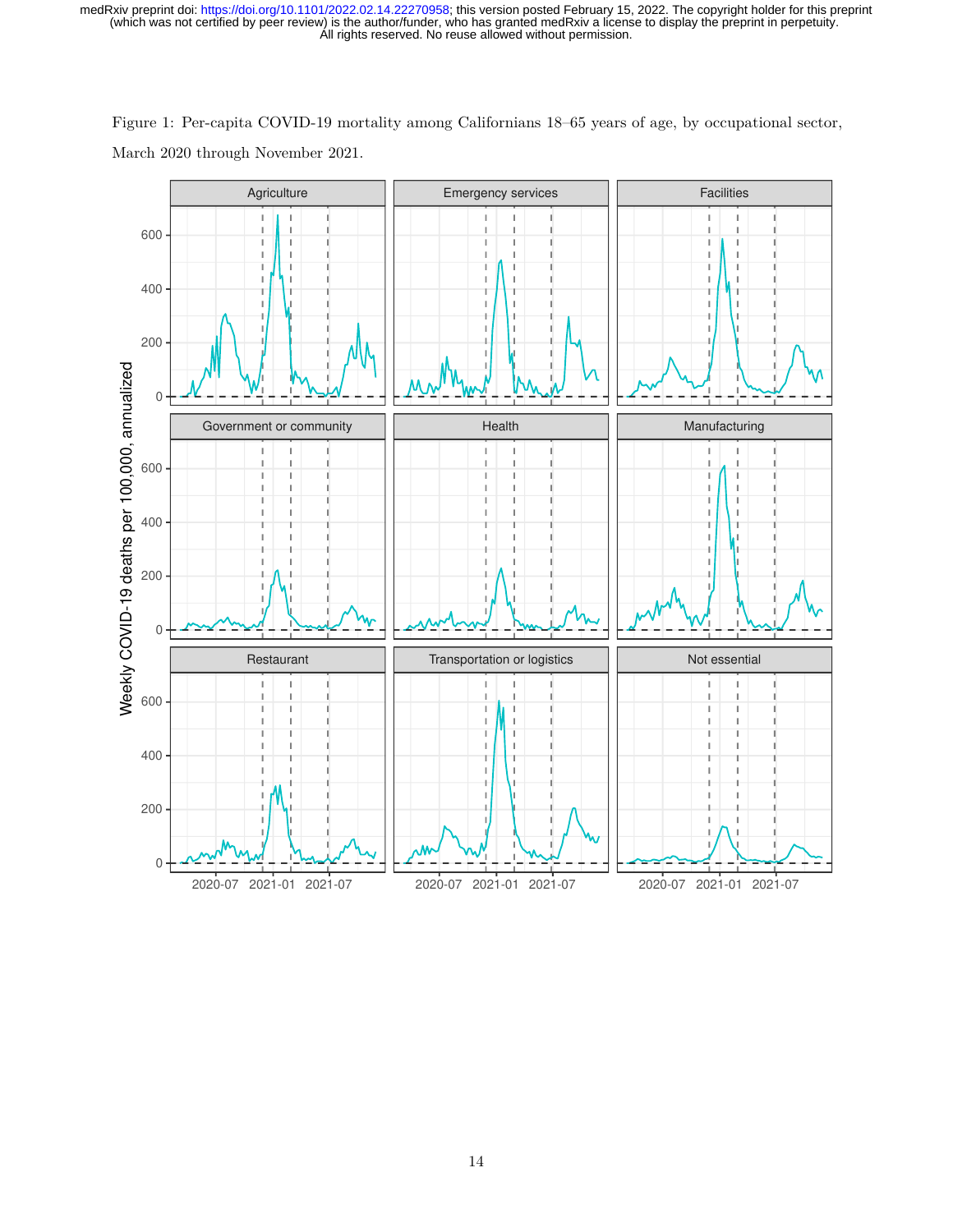

Figure 1: Per-capita COVID-19 mortality among Californians 18–65 years of age, by occupational sector, March 2020 through November 2021.